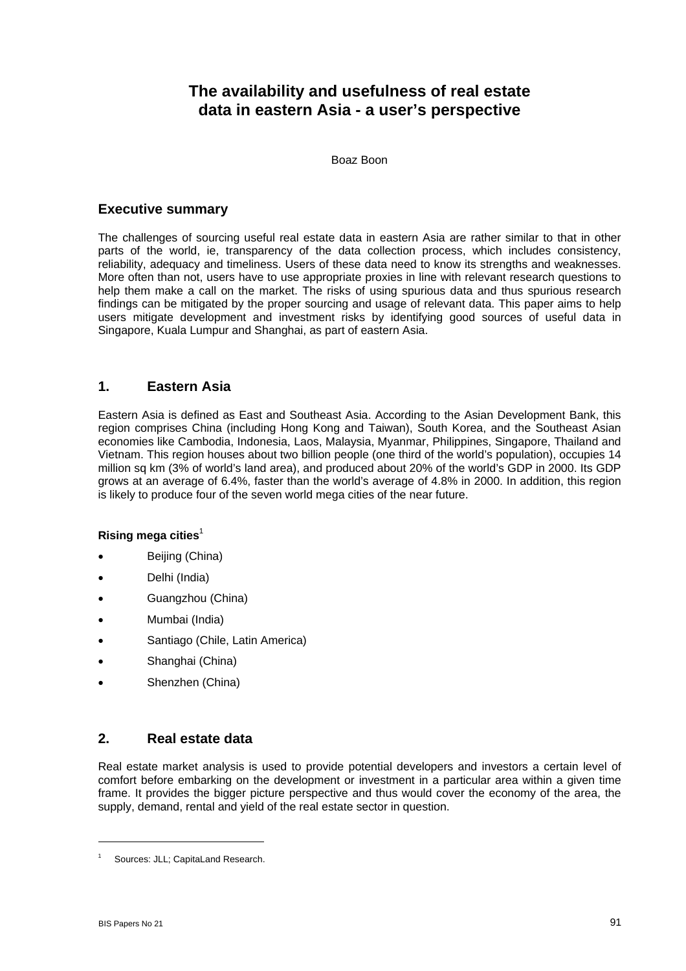# **The availability and usefulness of real estate data in eastern Asia - a user's perspective**

Boaz Boon

### **Executive summary**

The challenges of sourcing useful real estate data in eastern Asia are rather similar to that in other parts of the world, ie, transparency of the data collection process, which includes consistency, reliability, adequacy and timeliness. Users of these data need to know its strengths and weaknesses. More often than not, users have to use appropriate proxies in line with relevant research questions to help them make a call on the market. The risks of using spurious data and thus spurious research findings can be mitigated by the proper sourcing and usage of relevant data. This paper aims to help users mitigate development and investment risks by identifying good sources of useful data in Singapore, Kuala Lumpur and Shanghai, as part of eastern Asia.

### **1. Eastern Asia**

Eastern Asia is defined as East and Southeast Asia. According to the Asian Development Bank, this region comprises China (including Hong Kong and Taiwan), South Korea, and the Southeast Asian economies like Cambodia, Indonesia, Laos, Malaysia, Myanmar, Philippines, Singapore, Thailand and Vietnam. This region houses about two billion people (one third of the world's population), occupies 14 million sq km (3% of world's land area), and produced about 20% of the world's GDP in 2000. Its GDP grows at an average of 6.4%, faster than the world's average of 4.8% in 2000. In addition, this region is likely to produce four of the seven world mega cities of the near future.

#### **Rising mega cities**<sup>1</sup>

- Beijing (China)
- Delhi (India)
- Guangzhou (China)
- Mumbai (India)
- Santiago (Chile, Latin America)
- Shanghai (China)
- Shenzhen (China)

### **2. Real estate data**

Real estate market analysis is used to provide potential developers and investors a certain level of comfort before embarking on the development or investment in a particular area within a given time frame. It provides the bigger picture perspective and thus would cover the economy of the area, the supply, demand, rental and yield of the real estate sector in question.

 $\overline{a}$ 

<sup>1</sup> Sources: JLL; CapitaLand Research.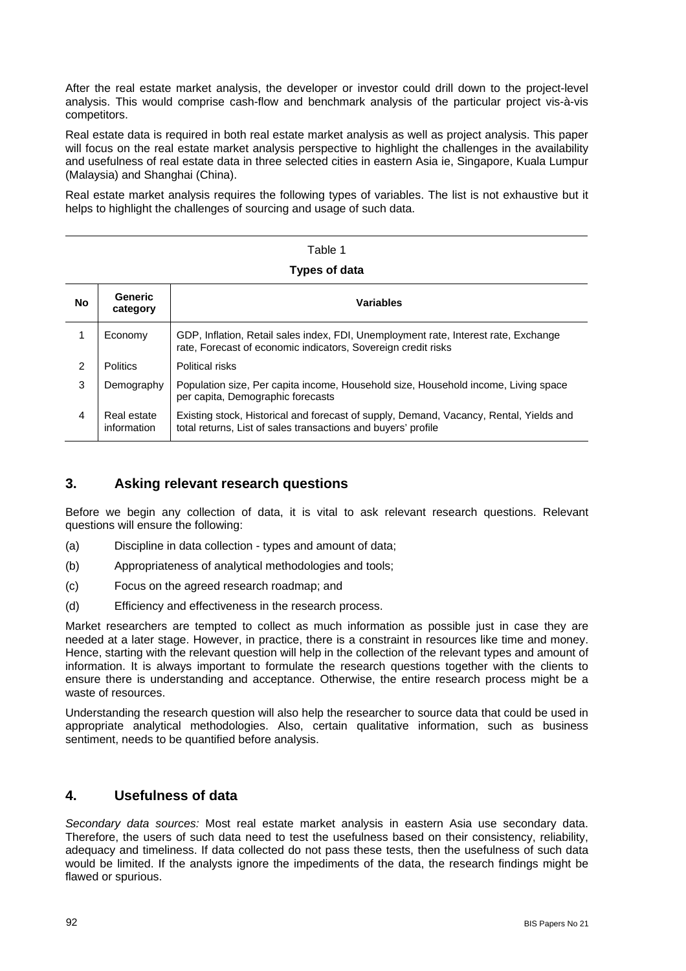After the real estate market analysis, the developer or investor could drill down to the project-level analysis. This would comprise cash-flow and benchmark analysis of the particular project vis-à-vis competitors.

Real estate data is required in both real estate market analysis as well as project analysis. This paper will focus on the real estate market analysis perspective to highlight the challenges in the availability and usefulness of real estate data in three selected cities in eastern Asia ie, Singapore, Kuala Lumpur (Malaysia) and Shanghai (China).

Real estate market analysis requires the following types of variables. The list is not exhaustive but it helps to highlight the challenges of sourcing and usage of such data.

# Table 1 **Types of data**

| No | <b>Generic</b><br>category | <b>Variables</b>                                                                                                                                        |
|----|----------------------------|---------------------------------------------------------------------------------------------------------------------------------------------------------|
|    | Economy                    | GDP, Inflation, Retail sales index, FDI, Unemployment rate, Interest rate, Exchange<br>rate, Forecast of economic indicators, Sovereign credit risks    |
| 2  | <b>Politics</b>            | Political risks                                                                                                                                         |
| 3  | Demography                 | Population size, Per capita income, Household size, Household income, Living space<br>per capita, Demographic forecasts                                 |
| 4  | Real estate<br>information | Existing stock, Historical and forecast of supply, Demand, Vacancy, Rental, Yields and<br>total returns, List of sales transactions and buyers' profile |

### **3. Asking relevant research questions**

Before we begin any collection of data, it is vital to ask relevant research questions. Relevant questions will ensure the following:

- (a) Discipline in data collection types and amount of data;
- (b) Appropriateness of analytical methodologies and tools;
- (c) Focus on the agreed research roadmap; and
- (d) Efficiency and effectiveness in the research process.

Market researchers are tempted to collect as much information as possible just in case they are needed at a later stage. However, in practice, there is a constraint in resources like time and money. Hence, starting with the relevant question will help in the collection of the relevant types and amount of information. It is always important to formulate the research questions together with the clients to ensure there is understanding and acceptance. Otherwise, the entire research process might be a waste of resources.

Understanding the research question will also help the researcher to source data that could be used in appropriate analytical methodologies. Also, certain qualitative information, such as business sentiment, needs to be quantified before analysis.

### **4. Usefulness of data**

*Secondary data sources:* Most real estate market analysis in eastern Asia use secondary data. Therefore, the users of such data need to test the usefulness based on their consistency, reliability, adequacy and timeliness. If data collected do not pass these tests, then the usefulness of such data would be limited. If the analysts ignore the impediments of the data, the research findings might be flawed or spurious.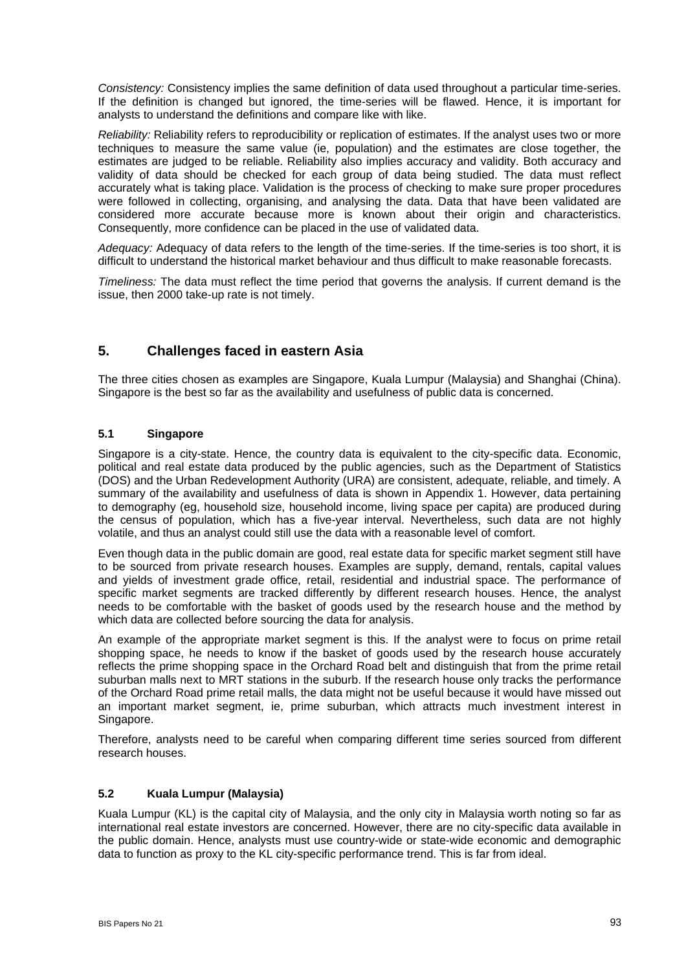*Consistency:* Consistency implies the same definition of data used throughout a particular time-series. If the definition is changed but ignored, the time-series will be flawed. Hence, it is important for analysts to understand the definitions and compare like with like.

*Reliability:* Reliability refers to reproducibility or replication of estimates. If the analyst uses two or more techniques to measure the same value (ie, population) and the estimates are close together, the estimates are judged to be reliable. Reliability also implies accuracy and validity. Both accuracy and validity of data should be checked for each group of data being studied. The data must reflect accurately what is taking place. Validation is the process of checking to make sure proper procedures were followed in collecting, organising, and analysing the data. Data that have been validated are considered more accurate because more is known about their origin and characteristics. Consequently, more confidence can be placed in the use of validated data.

*Adequacy:* Adequacy of data refers to the length of the time-series. If the time-series is too short, it is difficult to understand the historical market behaviour and thus difficult to make reasonable forecasts.

*Timeliness:* The data must reflect the time period that governs the analysis. If current demand is the issue, then 2000 take-up rate is not timely.

### **5. Challenges faced in eastern Asia**

The three cities chosen as examples are Singapore, Kuala Lumpur (Malaysia) and Shanghai (China). Singapore is the best so far as the availability and usefulness of public data is concerned.

### **5.1 Singapore**

Singapore is a city-state. Hence, the country data is equivalent to the city-specific data. Economic, political and real estate data produced by the public agencies, such as the Department of Statistics (DOS) and the Urban Redevelopment Authority (URA) are consistent, adequate, reliable, and timely. A summary of the availability and usefulness of data is shown in Appendix 1. However, data pertaining to demography (eg, household size, household income, living space per capita) are produced during the census of population, which has a five-year interval. Nevertheless, such data are not highly volatile, and thus an analyst could still use the data with a reasonable level of comfort.

Even though data in the public domain are good, real estate data for specific market segment still have to be sourced from private research houses. Examples are supply, demand, rentals, capital values and yields of investment grade office, retail, residential and industrial space. The performance of specific market segments are tracked differently by different research houses. Hence, the analyst needs to be comfortable with the basket of goods used by the research house and the method by which data are collected before sourcing the data for analysis.

An example of the appropriate market segment is this. If the analyst were to focus on prime retail shopping space, he needs to know if the basket of goods used by the research house accurately reflects the prime shopping space in the Orchard Road belt and distinguish that from the prime retail suburban malls next to MRT stations in the suburb. If the research house only tracks the performance of the Orchard Road prime retail malls, the data might not be useful because it would have missed out an important market segment, ie, prime suburban, which attracts much investment interest in Singapore.

Therefore, analysts need to be careful when comparing different time series sourced from different research houses.

#### **5.2 Kuala Lumpur (Malaysia)**

Kuala Lumpur (KL) is the capital city of Malaysia, and the only city in Malaysia worth noting so far as international real estate investors are concerned. However, there are no city-specific data available in the public domain. Hence, analysts must use country-wide or state-wide economic and demographic data to function as proxy to the KL city-specific performance trend. This is far from ideal.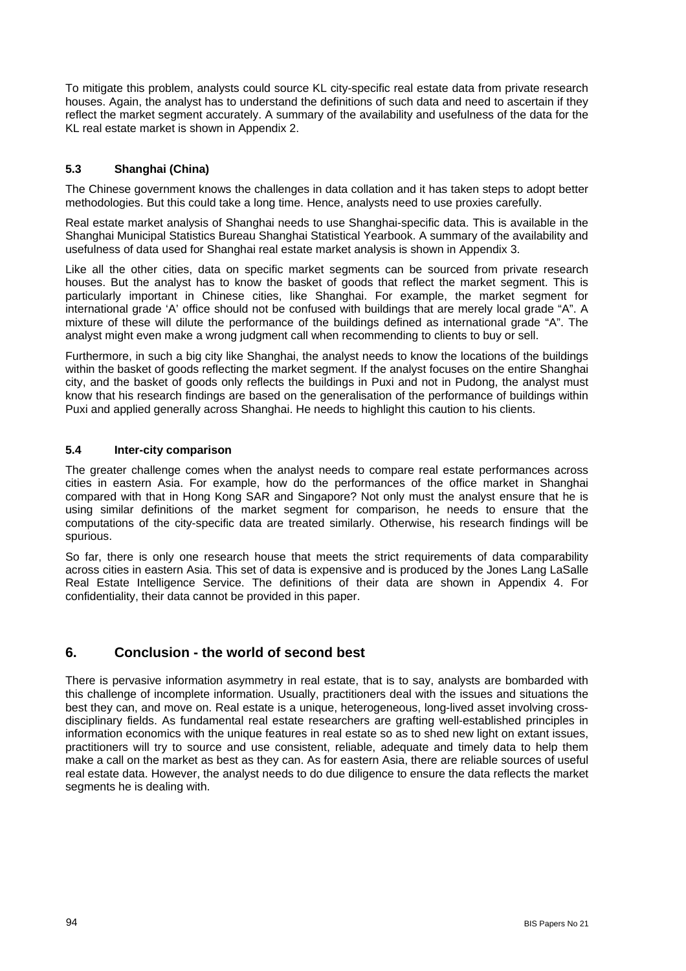To mitigate this problem, analysts could source KL city-specific real estate data from private research houses. Again, the analyst has to understand the definitions of such data and need to ascertain if they reflect the market segment accurately. A summary of the availability and usefulness of the data for the KL real estate market is shown in Appendix 2.

### **5.3 Shanghai (China)**

The Chinese government knows the challenges in data collation and it has taken steps to adopt better methodologies. But this could take a long time. Hence, analysts need to use proxies carefully.

Real estate market analysis of Shanghai needs to use Shanghai-specific data. This is available in the Shanghai Municipal Statistics Bureau Shanghai Statistical Yearbook. A summary of the availability and usefulness of data used for Shanghai real estate market analysis is shown in Appendix 3.

Like all the other cities, data on specific market segments can be sourced from private research houses. But the analyst has to know the basket of goods that reflect the market segment. This is particularly important in Chinese cities, like Shanghai. For example, the market segment for international grade 'A' office should not be confused with buildings that are merely local grade "A". A mixture of these will dilute the performance of the buildings defined as international grade "A". The analyst might even make a wrong judgment call when recommending to clients to buy or sell.

Furthermore, in such a big city like Shanghai, the analyst needs to know the locations of the buildings within the basket of goods reflecting the market segment. If the analyst focuses on the entire Shanghai city, and the basket of goods only reflects the buildings in Puxi and not in Pudong, the analyst must know that his research findings are based on the generalisation of the performance of buildings within Puxi and applied generally across Shanghai. He needs to highlight this caution to his clients.

#### **5.4 Inter-city comparison**

The greater challenge comes when the analyst needs to compare real estate performances across cities in eastern Asia. For example, how do the performances of the office market in Shanghai compared with that in Hong Kong SAR and Singapore? Not only must the analyst ensure that he is using similar definitions of the market segment for comparison, he needs to ensure that the computations of the city-specific data are treated similarly. Otherwise, his research findings will be spurious.

So far, there is only one research house that meets the strict requirements of data comparability across cities in eastern Asia. This set of data is expensive and is produced by the Jones Lang LaSalle Real Estate Intelligence Service. The definitions of their data are shown in Appendix 4. For confidentiality, their data cannot be provided in this paper.

### **6. Conclusion - the world of second best**

There is pervasive information asymmetry in real estate, that is to say, analysts are bombarded with this challenge of incomplete information. Usually, practitioners deal with the issues and situations the best they can, and move on. Real estate is a unique, heterogeneous, long-lived asset involving crossdisciplinary fields. As fundamental real estate researchers are grafting well-established principles in information economics with the unique features in real estate so as to shed new light on extant issues, practitioners will try to source and use consistent, reliable, adequate and timely data to help them make a call on the market as best as they can. As for eastern Asia, there are reliable sources of useful real estate data. However, the analyst needs to do due diligence to ensure the data reflects the market segments he is dealing with.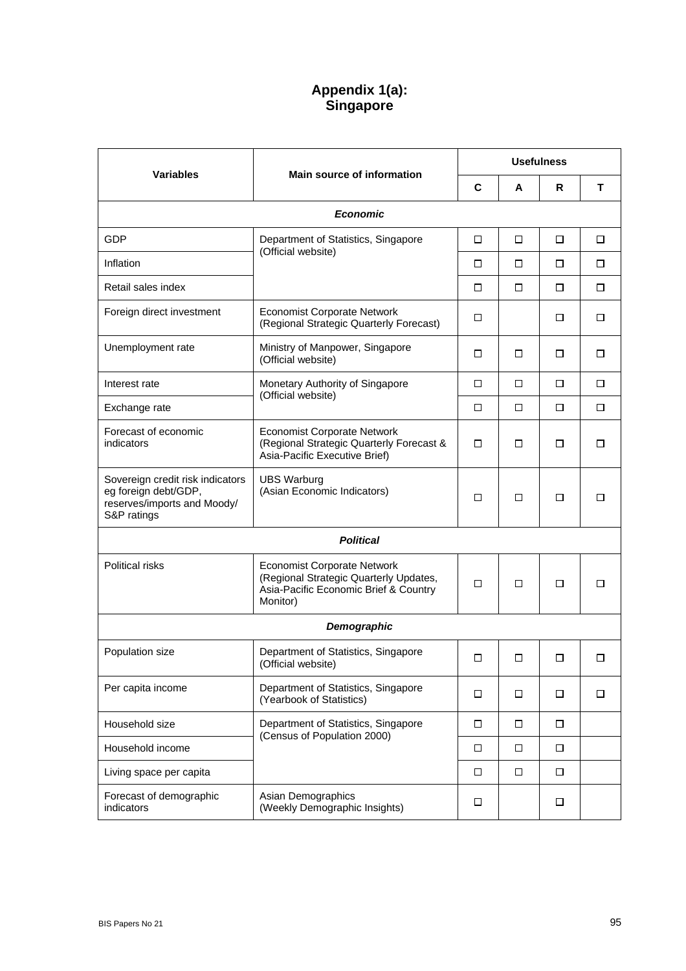# **Appendix 1(a): Singapore**

|                                                                                                        |                                                                                                                                   |        | <b>Usefulness</b> |        |   |  |
|--------------------------------------------------------------------------------------------------------|-----------------------------------------------------------------------------------------------------------------------------------|--------|-------------------|--------|---|--|
| <b>Variables</b>                                                                                       | <b>Main source of information</b>                                                                                                 | C      | A                 | R.     | T |  |
|                                                                                                        | <b>Economic</b>                                                                                                                   |        |                   |        |   |  |
| <b>GDP</b>                                                                                             | Department of Statistics, Singapore                                                                                               | □      | □                 | □      | □ |  |
| Inflation                                                                                              | (Official website)                                                                                                                | □      | □                 | □      | □ |  |
| Retail sales index                                                                                     |                                                                                                                                   | □      | □                 | □      | □ |  |
| Foreign direct investment                                                                              | <b>Economist Corporate Network</b><br>(Regional Strategic Quarterly Forecast)                                                     | □      |                   | □      | □ |  |
| Unemployment rate                                                                                      | Ministry of Manpower, Singapore<br>(Official website)                                                                             | □      | □                 | □      | □ |  |
| Interest rate                                                                                          | Monetary Authority of Singapore                                                                                                   | $\Box$ | □                 | $\Box$ | □ |  |
| Exchange rate                                                                                          | (Official website)                                                                                                                |        | □                 | □      | □ |  |
| Forecast of economic<br>indicators                                                                     | <b>Economist Corporate Network</b><br>(Regional Strategic Quarterly Forecast &<br>Asia-Pacific Executive Brief)                   | □      | □                 | □      | □ |  |
| Sovereign credit risk indicators<br>eg foreign debt/GDP,<br>reserves/imports and Moody/<br>S&P ratings | <b>UBS Warburg</b><br>(Asian Economic Indicators)                                                                                 | □      | □                 | □      | □ |  |
|                                                                                                        | <b>Political</b>                                                                                                                  |        |                   |        |   |  |
| <b>Political risks</b>                                                                                 | <b>Economist Corporate Network</b><br>(Regional Strategic Quarterly Updates,<br>Asia-Pacific Economic Brief & Country<br>Monitor) | $\Box$ | □                 | □      | □ |  |
|                                                                                                        | Demographic                                                                                                                       |        |                   |        |   |  |
| Population size                                                                                        | Department of Statistics, Singapore<br>(Official website)                                                                         | □      | □                 | □      | □ |  |
| Per capita income                                                                                      | Department of Statistics, Singapore<br>(Yearbook of Statistics)                                                                   | □      | □                 | □      | □ |  |
| Household size                                                                                         | Department of Statistics, Singapore                                                                                               | □      | □                 | $\Box$ |   |  |
| Household income                                                                                       | (Census of Population 2000)                                                                                                       | $\Box$ | □                 | $\Box$ |   |  |
| Living space per capita                                                                                |                                                                                                                                   | □      | □                 | $\Box$ |   |  |
| Forecast of demographic<br>indicators                                                                  | Asian Demographics<br>(Weekly Demographic Insights)                                                                               | □      |                   | $\Box$ |   |  |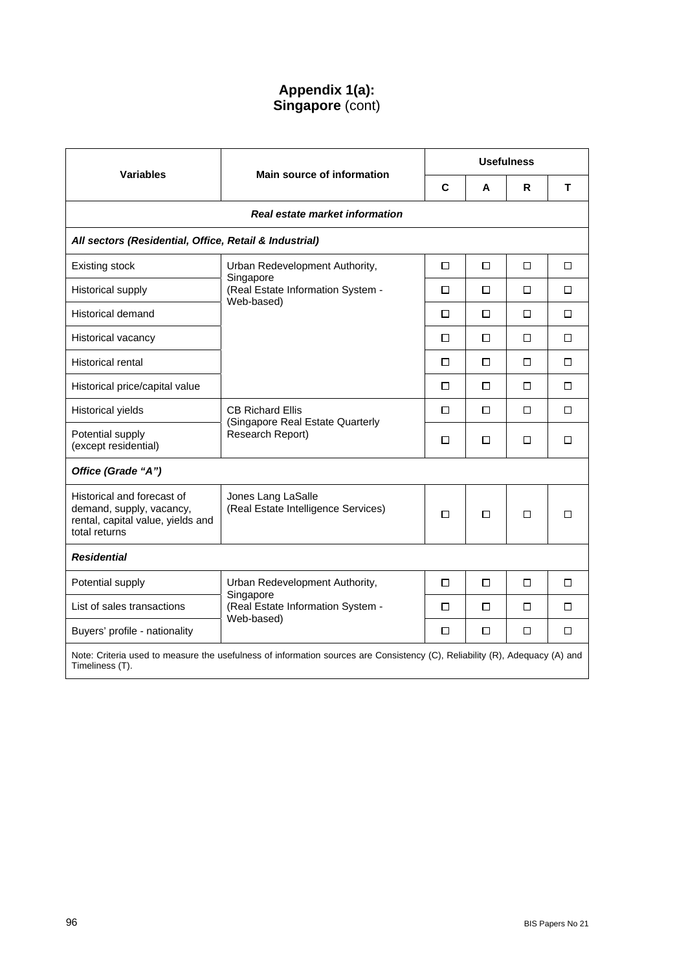## **Appendix 1(a): Singapore** (cont)

| <b>Variables</b>                                                                                                                               | Main source of information                                   |             | <b>Usefulness</b> |        |   |  |
|------------------------------------------------------------------------------------------------------------------------------------------------|--------------------------------------------------------------|-------------|-------------------|--------|---|--|
|                                                                                                                                                |                                                              | $\mathbf c$ | A                 | R      | т |  |
|                                                                                                                                                | Real estate market information                               |             |                   |        |   |  |
| All sectors (Residential, Office, Retail & Industrial)                                                                                         |                                                              |             |                   |        |   |  |
| <b>Existing stock</b>                                                                                                                          | Urban Redevelopment Authority,                               | □           | □                 | □      | □ |  |
| Historical supply                                                                                                                              | Singapore<br>(Real Estate Information System -<br>Web-based) | □           | □                 | $\Box$ | □ |  |
| Historical demand                                                                                                                              |                                                              | П           | П                 | П      | П |  |
| Historical vacancy                                                                                                                             |                                                              | □           | □                 | $\Box$ | □ |  |
| <b>Historical rental</b>                                                                                                                       |                                                              | □           | □                 | $\Box$ | □ |  |
| Historical price/capital value                                                                                                                 |                                                              | □           | □                 | □      | □ |  |
| Historical yields                                                                                                                              | <b>CB Richard Ellis</b><br>(Singapore Real Estate Quarterly  | □           | □                 | $\Box$ | □ |  |
| Potential supply<br>(except residential)                                                                                                       | Research Report)                                             | □           | □                 | □      | □ |  |
| Office (Grade "A")                                                                                                                             |                                                              |             |                   |        |   |  |
| Historical and forecast of<br>demand, supply, vacancy,<br>rental, capital value, yields and<br>total returns                                   | Jones Lang LaSalle<br>(Real Estate Intelligence Services)    | □           | □                 | П      | п |  |
| <b>Residential</b>                                                                                                                             |                                                              |             |                   |        |   |  |
| Potential supply                                                                                                                               | Urban Redevelopment Authority,                               | □           | □                 | □      | □ |  |
| List of sales transactions                                                                                                                     | Singapore<br>(Real Estate Information System -               | П           | п                 | П      | П |  |
| Buyers' profile - nationality                                                                                                                  | Web-based)                                                   | □           | □                 | □      | □ |  |
| Note: Criteria used to measure the usefulness of information sources are Consistency (C), Reliability (R), Adequacy (A) and<br>Timeliness (T). |                                                              |             |                   |        |   |  |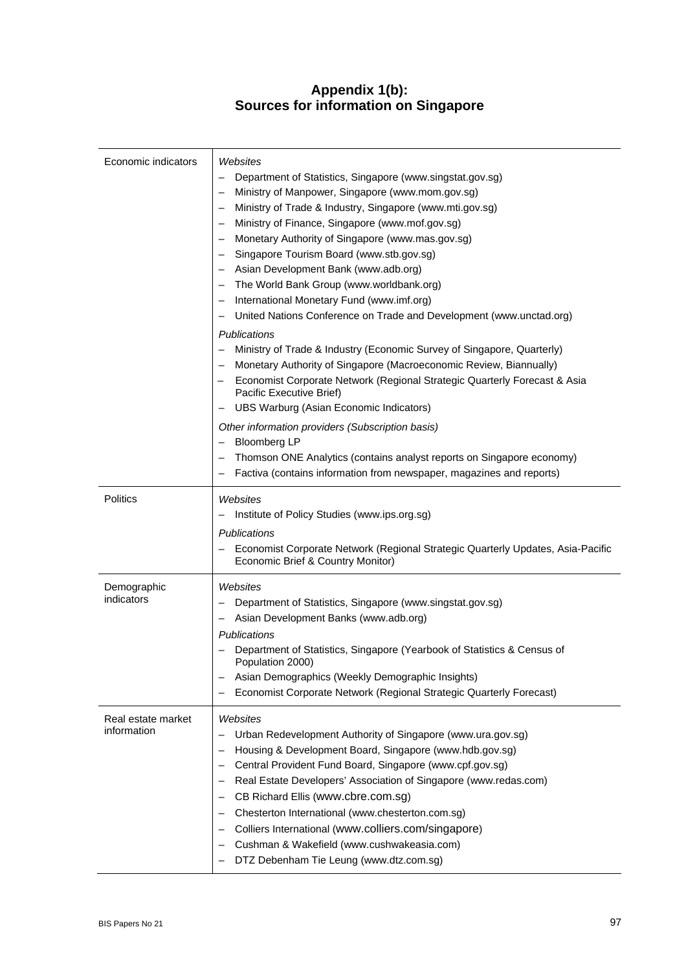## **Appendix 1(b): Sources for information on Singapore**

| Economic indicators               | Websites<br>Department of Statistics, Singapore (www.singstat.gov.sg)<br>Ministry of Manpower, Singapore (www.mom.gov.sg)<br>Ministry of Trade & Industry, Singapore (www.mti.gov.sg)<br>Ministry of Finance, Singapore (www.mof.gov.sg)<br>Monetary Authority of Singapore (www.mas.gov.sg)<br>Singapore Tourism Board (www.stb.gov.sg)<br>Asian Development Bank (www.adb.org)<br>The World Bank Group (www.worldbank.org)<br>International Monetary Fund (www.imf.org)<br>United Nations Conference on Trade and Development (www.unctad.org)<br>Publications<br>Ministry of Trade & Industry (Economic Survey of Singapore, Quarterly)<br>Monetary Authority of Singapore (Macroeconomic Review, Biannually)<br>Economist Corporate Network (Regional Strategic Quarterly Forecast & Asia<br>Pacific Executive Brief)<br>UBS Warburg (Asian Economic Indicators)<br>Other information providers (Subscription basis)<br><b>Bloomberg LP</b><br>Thomson ONE Analytics (contains analyst reports on Singapore economy)<br>Factiva (contains information from newspaper, magazines and reports) |
|-----------------------------------|--------------------------------------------------------------------------------------------------------------------------------------------------------------------------------------------------------------------------------------------------------------------------------------------------------------------------------------------------------------------------------------------------------------------------------------------------------------------------------------------------------------------------------------------------------------------------------------------------------------------------------------------------------------------------------------------------------------------------------------------------------------------------------------------------------------------------------------------------------------------------------------------------------------------------------------------------------------------------------------------------------------------------------------------------------------------------------------------------|
| <b>Politics</b>                   | Websites<br>Institute of Policy Studies (www.ips.org.sg)<br>Publications<br>Economist Corporate Network (Regional Strategic Quarterly Updates, Asia-Pacific<br>Economic Brief & Country Monitor)                                                                                                                                                                                                                                                                                                                                                                                                                                                                                                                                                                                                                                                                                                                                                                                                                                                                                                 |
| Demographic<br>indicators         | Websites<br>Department of Statistics, Singapore (www.singstat.gov.sg)<br>Asian Development Banks (www.adb.org)<br><b>Publications</b><br>Department of Statistics, Singapore (Yearbook of Statistics & Census of<br>Population 2000)<br>Asian Demographics (Weekly Demographic Insights)<br>Economist Corporate Network (Regional Strategic Quarterly Forecast)                                                                                                                                                                                                                                                                                                                                                                                                                                                                                                                                                                                                                                                                                                                                  |
| Real estate market<br>information | Websites<br>Urban Redevelopment Authority of Singapore (www.ura.gov.sg)<br>Housing & Development Board, Singapore (www.hdb.gov.sg)<br>Central Provident Fund Board, Singapore (www.cpf.gov.sg)<br>$\overline{\phantom{0}}$<br>Real Estate Developers' Association of Singapore (www.redas.com)<br>$\qquad \qquad -$<br>CB Richard Ellis (www.cbre.com.sg)<br>Chesterton International (www.chesterton.com.sg)<br>Colliers International (www.colliers.com/singapore)<br>Cushman & Wakefield (www.cushwakeasia.com)<br>DTZ Debenham Tie Leung (www.dtz.com.sg)                                                                                                                                                                                                                                                                                                                                                                                                                                                                                                                                    |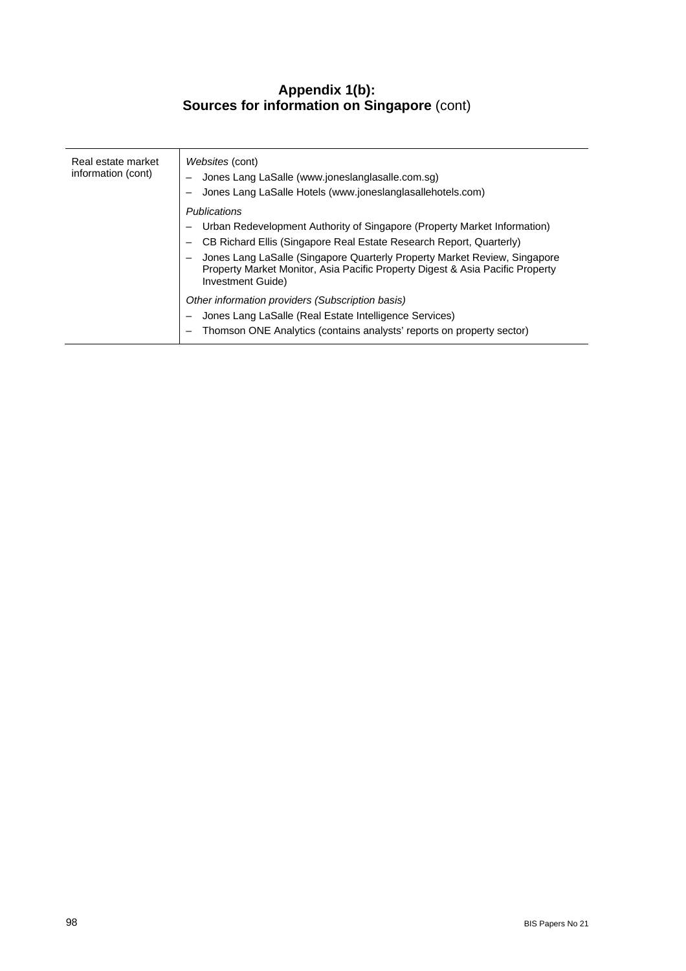### **Appendix 1(b): Sources for information on Singapore** (cont)

| Real estate market<br>information (cont) | <i>Websites (cont)</i><br>Jones Lang LaSalle (www.joneslanglasalle.com.sg)<br>Jones Lang LaSalle Hotels (www.joneslanglasallehotels.com)                                        |
|------------------------------------------|---------------------------------------------------------------------------------------------------------------------------------------------------------------------------------|
|                                          | Publications                                                                                                                                                                    |
|                                          | Urban Redevelopment Authority of Singapore (Property Market Information)                                                                                                        |
|                                          | CB Richard Ellis (Singapore Real Estate Research Report, Quarterly)                                                                                                             |
|                                          | Jones Lang LaSalle (Singapore Quarterly Property Market Review, Singapore<br>Property Market Monitor, Asia Pacific Property Digest & Asia Pacific Property<br>Investment Guide) |
|                                          | Other information providers (Subscription basis)                                                                                                                                |
|                                          | Jones Lang LaSalle (Real Estate Intelligence Services)                                                                                                                          |
|                                          | Thomson ONE Analytics (contains analysts' reports on property sector)                                                                                                           |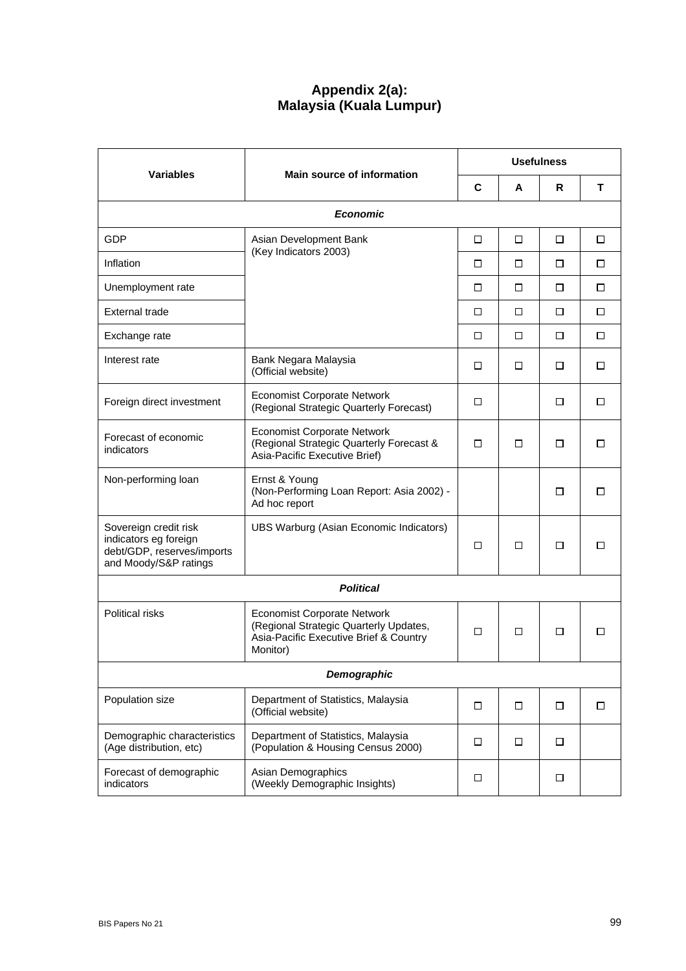# **Appendix 2(a): Malaysia (Kuala Lumpur)**

|                                                                                                       | <b>Main source of information</b>                                                                                                  | <b>Usefulness</b> |   |        |        |
|-------------------------------------------------------------------------------------------------------|------------------------------------------------------------------------------------------------------------------------------------|-------------------|---|--------|--------|
| <b>Variables</b>                                                                                      |                                                                                                                                    | C                 | A | R      | T      |
|                                                                                                       | <b>Economic</b>                                                                                                                    |                   |   |        |        |
| GDP                                                                                                   | Asian Development Bank                                                                                                             | □                 | □ | □      | □      |
| Inflation                                                                                             | (Key Indicators 2003)                                                                                                              | □                 | □ | □      | □      |
| Unemployment rate                                                                                     |                                                                                                                                    | □                 | □ | $\Box$ | □      |
| <b>External trade</b>                                                                                 |                                                                                                                                    | □                 | □ | $\Box$ | $\Box$ |
| Exchange rate                                                                                         |                                                                                                                                    | $\Box$            | □ | □      | □      |
| Interest rate                                                                                         | Bank Negara Malaysia<br>(Official website)                                                                                         | □                 | □ | □      | □      |
| Foreign direct investment                                                                             | <b>Economist Corporate Network</b><br>(Regional Strategic Quarterly Forecast)                                                      | $\Box$            |   | □      | □      |
| Forecast of economic<br>indicators                                                                    | <b>Economist Corporate Network</b><br>(Regional Strategic Quarterly Forecast &<br>Asia-Pacific Executive Brief)                    | П.                | □ | □      | □      |
| Non-performing loan                                                                                   | Ernst & Young<br>(Non-Performing Loan Report: Asia 2002) -<br>Ad hoc report                                                        |                   |   | □      | □      |
| Sovereign credit risk<br>indicators eg foreign<br>debt/GDP, reserves/imports<br>and Moody/S&P ratings | UBS Warburg (Asian Economic Indicators)                                                                                            | □                 | □ | □      | □      |
|                                                                                                       | <b>Political</b>                                                                                                                   |                   |   |        |        |
| <b>Political risks</b>                                                                                | <b>Economist Corporate Network</b><br>(Regional Strategic Quarterly Updates,<br>Asia-Pacific Executive Brief & Country<br>Monitor) | □                 | □ | □      | П      |
|                                                                                                       | Demographic                                                                                                                        |                   |   |        |        |
| Population size                                                                                       | Department of Statistics, Malaysia<br>(Official website)                                                                           | $\Box$            | □ | $\Box$ | $\Box$ |
| Demographic characteristics<br>(Age distribution, etc)                                                | Department of Statistics, Malaysia<br>(Population & Housing Census 2000)                                                           | □                 | □ | □      |        |
| Forecast of demographic<br>indicators                                                                 | Asian Demographics<br>(Weekly Demographic Insights)                                                                                | □                 |   | $\Box$ |        |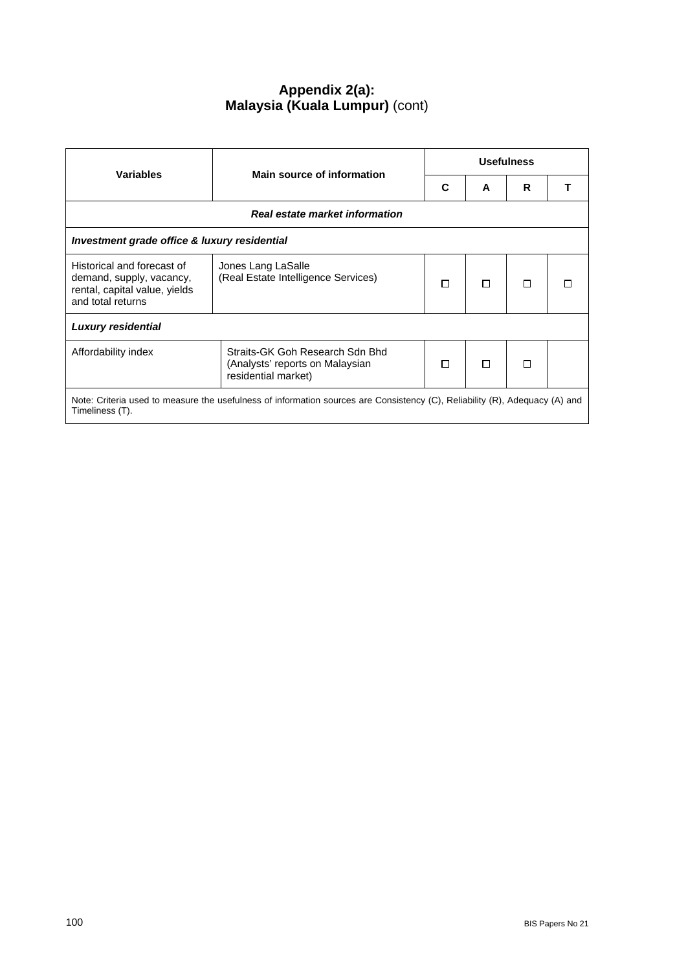# **Appendix 2(a): Malaysia (Kuala Lumpur)** (cont)

| <b>Variables</b>                                                                                                                               | Main source of information                                                                | <b>Usefulness</b> |   |   |  |
|------------------------------------------------------------------------------------------------------------------------------------------------|-------------------------------------------------------------------------------------------|-------------------|---|---|--|
|                                                                                                                                                |                                                                                           | C                 | A | R |  |
|                                                                                                                                                | Real estate market information                                                            |                   |   |   |  |
|                                                                                                                                                | Investment grade office & luxury residential                                              |                   |   |   |  |
| Historical and forecast of<br>demand, supply, vacancy,<br>rental, capital value, yields<br>and total returns                                   | Jones Lang LaSalle<br>(Real Estate Intelligence Services)                                 | П                 | п | П |  |
| <b>Luxury residential</b>                                                                                                                      |                                                                                           |                   |   |   |  |
| Affordability index                                                                                                                            | Straits-GK Goh Research Sdn Bhd<br>(Analysts' reports on Malaysian<br>residential market) | □                 | п | П |  |
| Note: Criteria used to measure the usefulness of information sources are Consistency (C), Reliability (R), Adequacy (A) and<br>Timeliness (T). |                                                                                           |                   |   |   |  |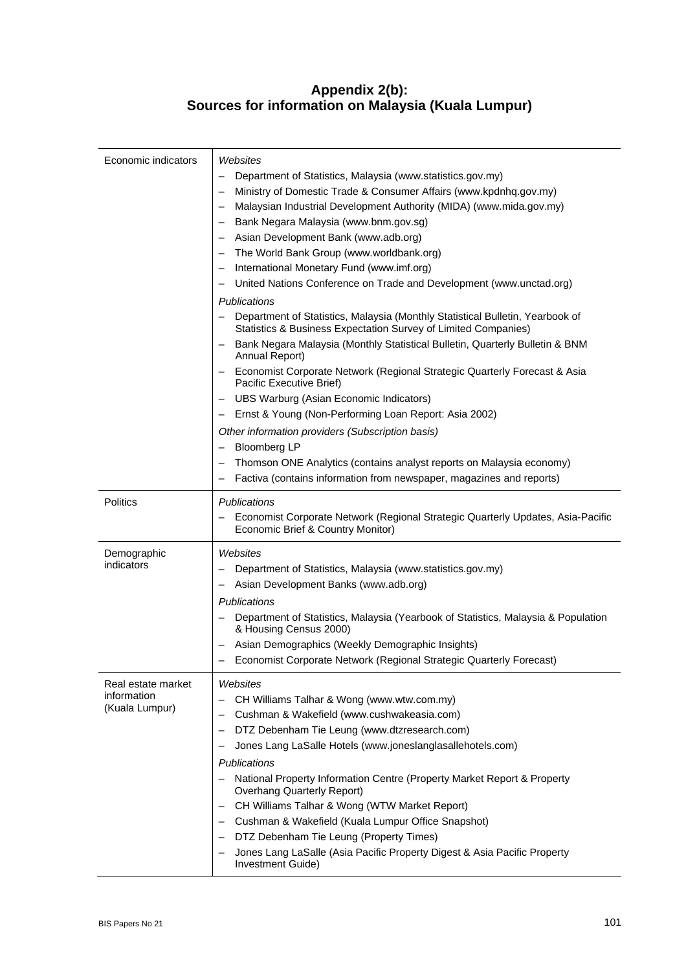# **Appendix 2(b): Sources for information on Malaysia (Kuala Lumpur)**

| Economic indicators               | Websites                                                                                                                                        |
|-----------------------------------|-------------------------------------------------------------------------------------------------------------------------------------------------|
|                                   | Department of Statistics, Malaysia (www.statistics.gov.my)                                                                                      |
|                                   | Ministry of Domestic Trade & Consumer Affairs (www.kpdnhq.gov.my)<br>—                                                                          |
|                                   | Malaysian Industrial Development Authority (MIDA) (www.mida.gov.my)                                                                             |
|                                   | Bank Negara Malaysia (www.bnm.gov.sg)                                                                                                           |
|                                   | Asian Development Bank (www.adb.org)                                                                                                            |
|                                   | The World Bank Group (www.worldbank.org)                                                                                                        |
|                                   | International Monetary Fund (www.imf.org)                                                                                                       |
|                                   | United Nations Conference on Trade and Development (www.unctad.org)                                                                             |
|                                   | Publications                                                                                                                                    |
|                                   | Department of Statistics, Malaysia (Monthly Statistical Bulletin, Yearbook of<br>Statistics & Business Expectation Survey of Limited Companies) |
|                                   | Bank Negara Malaysia (Monthly Statistical Bulletin, Quarterly Bulletin & BNM<br>Annual Report)                                                  |
|                                   | Economist Corporate Network (Regional Strategic Quarterly Forecast & Asia<br>-<br>Pacific Executive Brief)                                      |
|                                   | UBS Warburg (Asian Economic Indicators)<br>$\qquad \qquad -$                                                                                    |
|                                   | Ernst & Young (Non-Performing Loan Report: Asia 2002)                                                                                           |
|                                   | Other information providers (Subscription basis)                                                                                                |
|                                   | <b>Bloomberg LP</b><br>—                                                                                                                        |
|                                   | Thomson ONE Analytics (contains analyst reports on Malaysia economy)                                                                            |
|                                   | Factiva (contains information from newspaper, magazines and reports)                                                                            |
|                                   |                                                                                                                                                 |
| <b>Politics</b>                   | <b>Publications</b><br>Economist Corporate Network (Regional Strategic Quarterly Updates, Asia-Pacific<br>Economic Brief & Country Monitor)     |
| Demographic                       | Websites                                                                                                                                        |
| indicators                        | Department of Statistics, Malaysia (www.statistics.gov.my)                                                                                      |
|                                   | Asian Development Banks (www.adb.org)                                                                                                           |
|                                   | <b>Publications</b>                                                                                                                             |
|                                   | Department of Statistics, Malaysia (Yearbook of Statistics, Malaysia & Population<br>& Housing Census 2000)                                     |
|                                   | Asian Demographics (Weekly Demographic Insights)                                                                                                |
|                                   | Economist Corporate Network (Regional Strategic Quarterly Forecast)                                                                             |
|                                   |                                                                                                                                                 |
| Real estate market<br>information | Websites                                                                                                                                        |
| (Kuala Lumpur)                    | CH Williams Talhar & Wong (www.wtw.com.my)                                                                                                      |
|                                   | Cushman & Wakefield (www.cushwakeasia.com)                                                                                                      |
|                                   | DTZ Debenham Tie Leung (www.dtzresearch.com)                                                                                                    |
|                                   | Jones Lang LaSalle Hotels (www.joneslanglasallehotels.com)                                                                                      |
|                                   | <b>Publications</b>                                                                                                                             |
|                                   | National Property Information Centre (Property Market Report & Property<br>—<br><b>Overhang Quarterly Report)</b>                               |
|                                   | CH Williams Talhar & Wong (WTW Market Report)                                                                                                   |
|                                   | Cushman & Wakefield (Kuala Lumpur Office Snapshot)                                                                                              |
|                                   | DTZ Debenham Tie Leung (Property Times)                                                                                                         |
|                                   | Jones Lang LaSalle (Asia Pacific Property Digest & Asia Pacific Property                                                                        |
|                                   | Investment Guide)                                                                                                                               |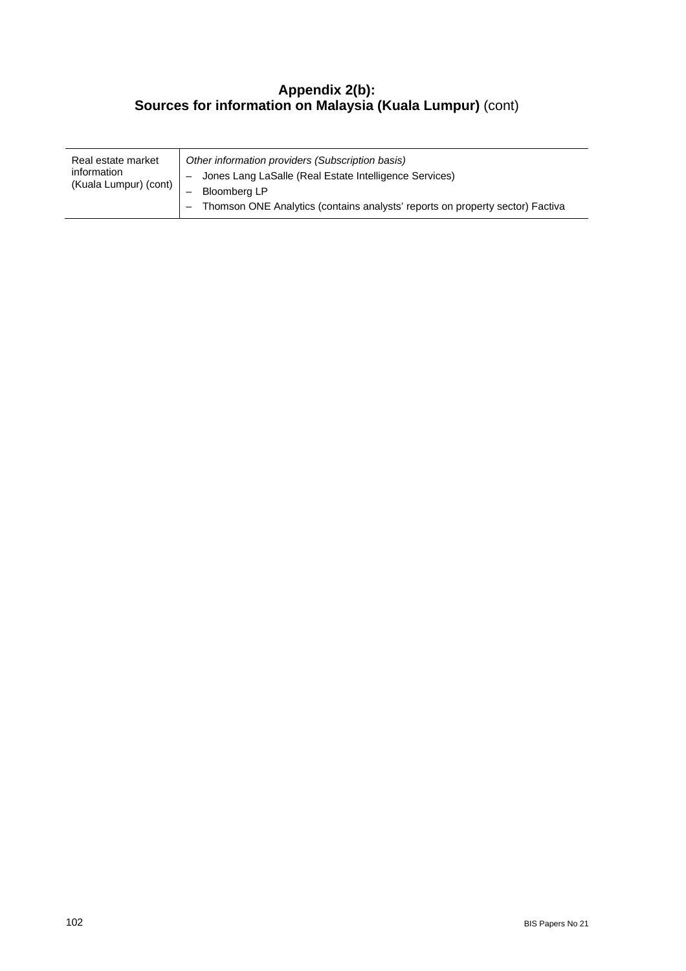## **Appendix 2(b): Sources for information on Malaysia (Kuala Lumpur)** (cont)

| Real estate market<br>information<br>(Kuala Lumpur) (cont) | Other information providers (Subscription basis)<br>Jones Lang LaSalle (Real Estate Intelligence Services)<br>Bloomberg LP<br>- Thomson ONE Analytics (contains analysts' reports on property sector) Factiva |
|------------------------------------------------------------|---------------------------------------------------------------------------------------------------------------------------------------------------------------------------------------------------------------|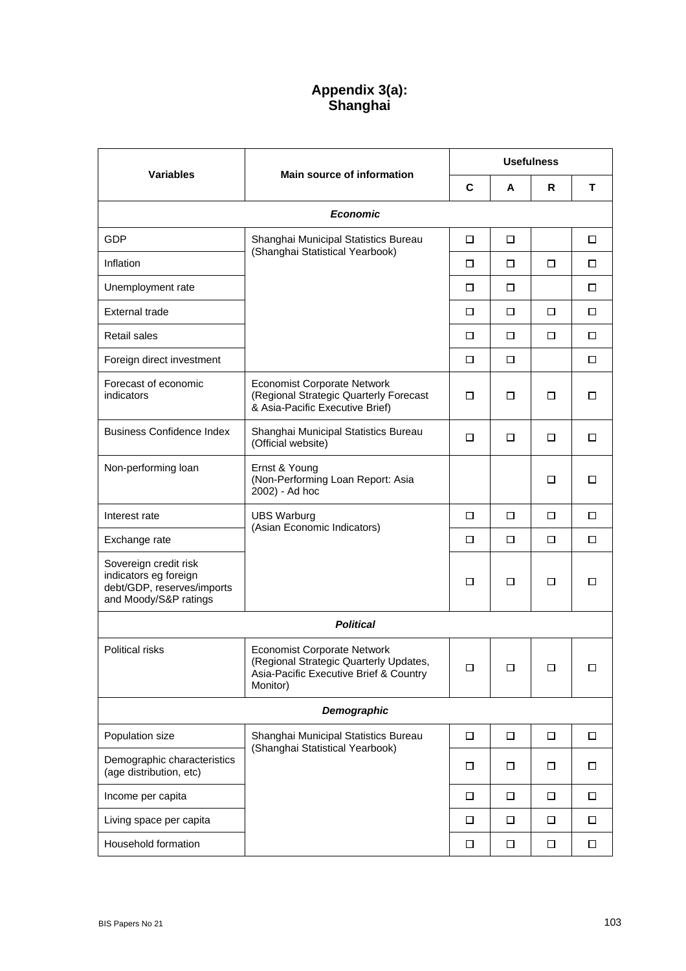# **Appendix 3(a): Shanghai**

|                                                                                                       |                                                                                                                                    | <b>Usefulness</b> |        |        |        |
|-------------------------------------------------------------------------------------------------------|------------------------------------------------------------------------------------------------------------------------------------|-------------------|--------|--------|--------|
| Variables                                                                                             | <b>Main source of information</b>                                                                                                  | C                 | A      | R.     | т      |
|                                                                                                       | <b>Economic</b>                                                                                                                    |                   |        |        |        |
| <b>GDP</b>                                                                                            | Shanghai Municipal Statistics Bureau                                                                                               | □                 | □      |        | □      |
| Inflation                                                                                             | (Shanghai Statistical Yearbook)                                                                                                    | □                 | □      | □      | □      |
| Unemployment rate                                                                                     |                                                                                                                                    | □                 | □      |        | П      |
| External trade                                                                                        |                                                                                                                                    | □                 | □      | □      | □      |
| <b>Retail sales</b>                                                                                   |                                                                                                                                    | □                 | □      | □      | □      |
| Foreign direct investment                                                                             |                                                                                                                                    | □                 | □      |        | □      |
| Forecast of economic<br>indicators                                                                    | <b>Economist Corporate Network</b><br>(Regional Strategic Quarterly Forecast<br>& Asia-Pacific Executive Brief)                    | □                 | □      | □      | □      |
| <b>Business Confidence Index</b>                                                                      | Shanghai Municipal Statistics Bureau<br>(Official website)                                                                         | □                 | □      | □      | □      |
| Non-performing loan                                                                                   | Ernst & Young<br>(Non-Performing Loan Report: Asia<br>2002) - Ad hoc                                                               |                   |        | □      | □      |
| Interest rate                                                                                         | <b>UBS Warburg</b>                                                                                                                 | □                 | □      | □      | □      |
| Exchange rate                                                                                         | (Asian Economic Indicators)                                                                                                        | □                 | □      | □      | □      |
| Sovereign credit risk<br>indicators eg foreign<br>debt/GDP, reserves/imports<br>and Moody/S&P ratings |                                                                                                                                    | □                 | ◻      | □      | П      |
|                                                                                                       | <b>Political</b>                                                                                                                   |                   |        |        |        |
| <b>Political risks</b>                                                                                | <b>Economist Corporate Network</b><br>(Regional Strategic Quarterly Updates,<br>Asia-Pacific Executive Brief & Country<br>Monitor) | ப                 | ப      | □      |        |
|                                                                                                       | Demographic                                                                                                                        |                   |        |        |        |
| Population size                                                                                       | Shanghai Municipal Statistics Bureau<br>(Shanghai Statistical Yearbook)                                                            | $\Box$            | $\Box$ | $\Box$ | $\Box$ |
| Demographic characteristics<br>(age distribution, etc)                                                |                                                                                                                                    | □                 | □      | □      | □      |
| Income per capita                                                                                     |                                                                                                                                    | $\Box$            | $\Box$ | $\Box$ | □      |
| Living space per capita                                                                               |                                                                                                                                    | □                 | □      | □      | □      |
| Household formation                                                                                   |                                                                                                                                    | □                 | □      | $\Box$ | □      |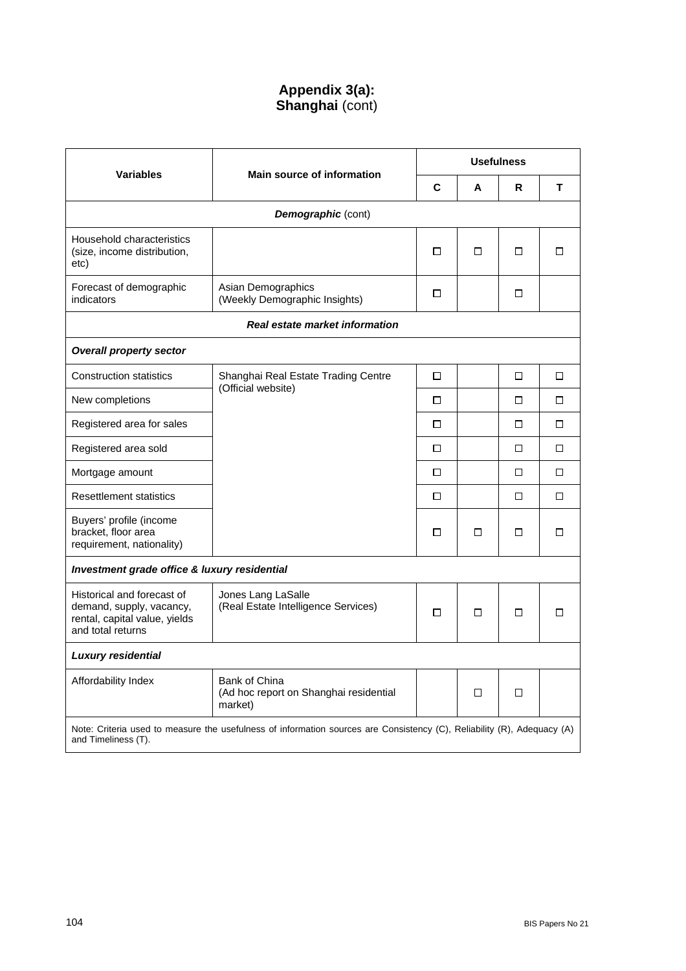# **Appendix 3(a): Shanghai** (cont)

|                                                                                                                                                | <b>Main source of information</b>                                  | <b>Usefulness</b> |        |   |        |
|------------------------------------------------------------------------------------------------------------------------------------------------|--------------------------------------------------------------------|-------------------|--------|---|--------|
| <b>Variables</b>                                                                                                                               |                                                                    | C                 | A      | R | т      |
|                                                                                                                                                | <b>Demographic (cont)</b>                                          |                   |        |   |        |
| Household characteristics<br>(size, income distribution,<br>etc)                                                                               |                                                                    | □                 | $\Box$ | □ | $\Box$ |
| Forecast of demographic<br>indicators                                                                                                          | Asian Demographics<br>(Weekly Demographic Insights)                | □                 |        | □ |        |
|                                                                                                                                                | <b>Real estate market information</b>                              |                   |        |   |        |
| <b>Overall property sector</b>                                                                                                                 |                                                                    |                   |        |   |        |
| <b>Construction statistics</b>                                                                                                                 | Shanghai Real Estate Trading Centre<br>(Official website)          | □                 |        | □ | П      |
| New completions                                                                                                                                |                                                                    | $\Box$            |        | □ | □      |
| Registered area for sales                                                                                                                      |                                                                    |                   |        | □ | П      |
| Registered area sold                                                                                                                           |                                                                    | □                 |        | □ | □      |
| Mortgage amount                                                                                                                                |                                                                    |                   |        | □ | П      |
| <b>Resettlement statistics</b>                                                                                                                 |                                                                    | □                 |        | □ | $\Box$ |
| Buyers' profile (income<br>bracket, floor area<br>requirement, nationality)                                                                    |                                                                    | □                 | □      | □ | П      |
| Investment grade office & luxury residential                                                                                                   |                                                                    |                   |        |   |        |
| Historical and forecast of<br>demand, supply, vacancy,<br>rental, capital value, yields<br>and total returns                                   | Jones Lang LaSalle<br>(Real Estate Intelligence Services)          | П                 | □      | □ | п      |
| <b>Luxury residential</b>                                                                                                                      |                                                                    |                   |        |   |        |
| Affordability Index                                                                                                                            | Bank of China<br>(Ad hoc report on Shanghai residential<br>market) |                   | □      | □ |        |
| Note: Criteria used to measure the usefulness of information sources are Consistency (C), Reliability (R), Adequacy (A)<br>and Timeliness (T). |                                                                    |                   |        |   |        |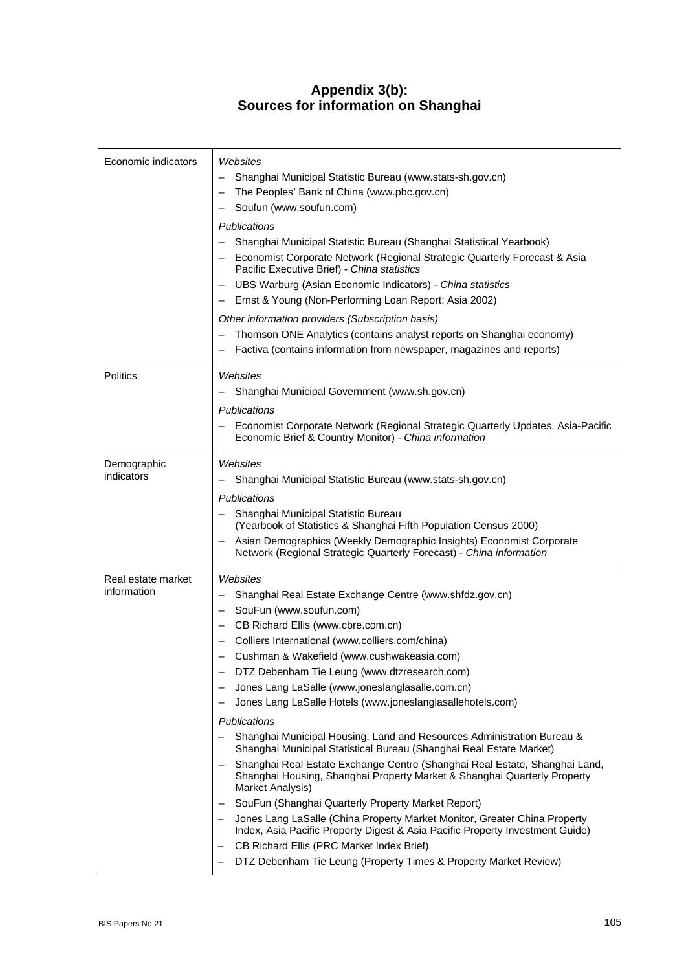## **Appendix 3(b): Sources for information on Shanghai**

| Economic indicators               | Websites<br>Shanghai Municipal Statistic Bureau (www.stats-sh.gov.cn)<br>The Peoples' Bank of China (www.pbc.gov.cn)<br>Soufun (www.soufun.com)<br>Publications<br>Shanghai Municipal Statistic Bureau (Shanghai Statistical Yearbook)<br>Economist Corporate Network (Regional Strategic Quarterly Forecast & Asia<br>Pacific Executive Brief) - China statistics                                                                                                                                                                                                                                                                                                                                                                                                                                                                                                                                                                                                                                                                                                                          |
|-----------------------------------|---------------------------------------------------------------------------------------------------------------------------------------------------------------------------------------------------------------------------------------------------------------------------------------------------------------------------------------------------------------------------------------------------------------------------------------------------------------------------------------------------------------------------------------------------------------------------------------------------------------------------------------------------------------------------------------------------------------------------------------------------------------------------------------------------------------------------------------------------------------------------------------------------------------------------------------------------------------------------------------------------------------------------------------------------------------------------------------------|
|                                   | UBS Warburg (Asian Economic Indicators) - China statistics<br>Ernst & Young (Non-Performing Loan Report: Asia 2002)                                                                                                                                                                                                                                                                                                                                                                                                                                                                                                                                                                                                                                                                                                                                                                                                                                                                                                                                                                         |
|                                   | Other information providers (Subscription basis)<br>Thomson ONE Analytics (contains analyst reports on Shanghai economy)<br>Factiva (contains information from newspaper, magazines and reports)                                                                                                                                                                                                                                                                                                                                                                                                                                                                                                                                                                                                                                                                                                                                                                                                                                                                                            |
| <b>Politics</b>                   | Websites<br>Shanghai Municipal Government (www.sh.gov.cn)<br>Publications<br>Economist Corporate Network (Regional Strategic Quarterly Updates, Asia-Pacific<br>Economic Brief & Country Monitor) - China information                                                                                                                                                                                                                                                                                                                                                                                                                                                                                                                                                                                                                                                                                                                                                                                                                                                                       |
| Demographic<br>indicators         | Websites<br>Shanghai Municipal Statistic Bureau (www.stats-sh.gov.cn)<br>Publications<br>Shanghai Municipal Statistic Bureau<br>(Yearbook of Statistics & Shanghai Fifth Population Census 2000)<br>Asian Demographics (Weekly Demographic Insights) Economist Corporate<br>Network (Regional Strategic Quarterly Forecast) - China information                                                                                                                                                                                                                                                                                                                                                                                                                                                                                                                                                                                                                                                                                                                                             |
| Real estate market<br>information | Websites<br>Shanghai Real Estate Exchange Centre (www.shfdz.gov.cn)<br>SouFun (www.soufun.com)<br>CB Richard Ellis (www.cbre.com.cn)<br>Colliers International (www.colliers.com/china)<br>Cushman & Wakefield (www.cushwakeasia.com)<br>DTZ Debenham Tie Leung (www.dtzresearch.com)<br>Jones Lang LaSalle (www.joneslanglasalle.com.cn)<br>Jones Lang LaSalle Hotels (www.joneslanglasallehotels.com)<br>Publications<br>Shanghai Municipal Housing, Land and Resources Administration Bureau &<br>Shanghai Municipal Statistical Bureau (Shanghai Real Estate Market)<br>Shanghai Real Estate Exchange Centre (Shanghai Real Estate, Shanghai Land,<br>Shanghai Housing, Shanghai Property Market & Shanghai Quarterly Property<br>Market Analysis)<br>SouFun (Shanghai Quarterly Property Market Report)<br>Jones Lang LaSalle (China Property Market Monitor, Greater China Property<br>Index, Asia Pacific Property Digest & Asia Pacific Property Investment Guide)<br>CB Richard Ellis (PRC Market Index Brief)<br>DTZ Debenham Tie Leung (Property Times & Property Market Review) |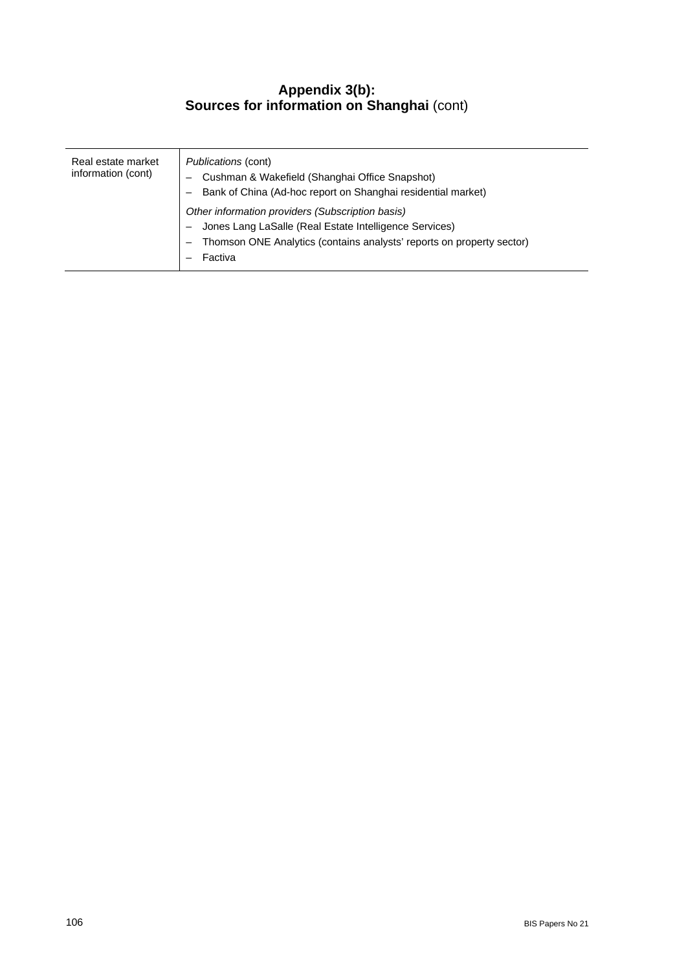## **Appendix 3(b): Sources for information on Shanghai** (cont)

| Real estate market<br>information (cont) | <i>Publications (cont)</i><br>Cushman & Wakefield (Shanghai Office Snapshot)<br>Bank of China (Ad-hoc report on Shanghai residential market)<br>Other information providers (Subscription basis)<br>Jones Lang LaSalle (Real Estate Intelligence Services)<br>Thomson ONE Analytics (contains analysts' reports on property sector)<br>Factiva |
|------------------------------------------|------------------------------------------------------------------------------------------------------------------------------------------------------------------------------------------------------------------------------------------------------------------------------------------------------------------------------------------------|
|------------------------------------------|------------------------------------------------------------------------------------------------------------------------------------------------------------------------------------------------------------------------------------------------------------------------------------------------------------------------------------------------|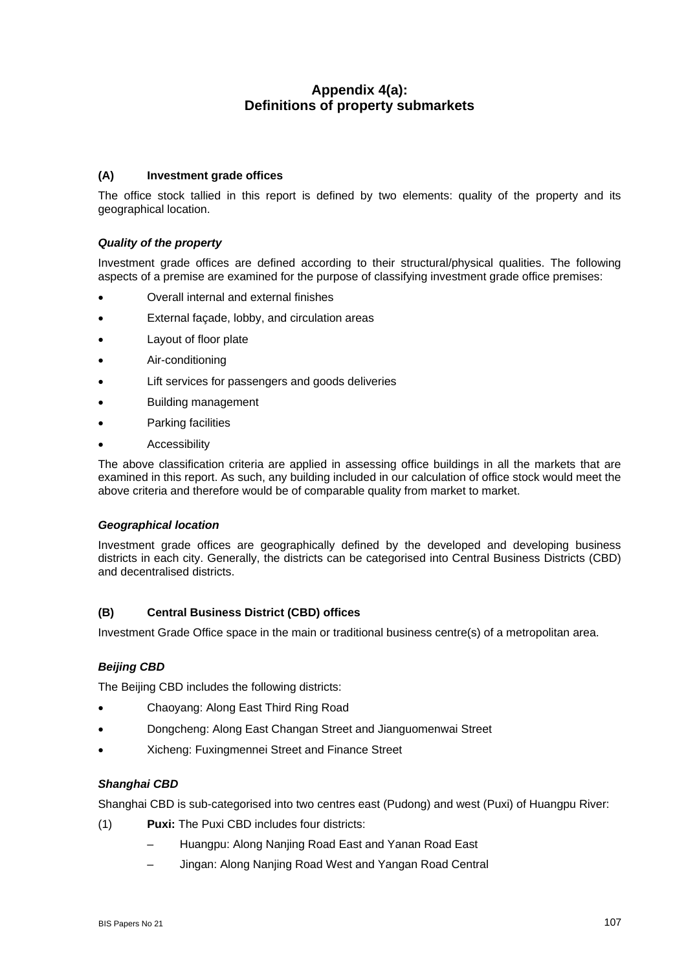## **Appendix 4(a): Definitions of property submarkets**

#### **(A) Investment grade offices**

The office stock tallied in this report is defined by two elements: quality of the property and its geographical location.

#### *Quality of the property*

Investment grade offices are defined according to their structural/physical qualities. The following aspects of a premise are examined for the purpose of classifying investment grade office premises:

- Overall internal and external finishes
- External façade, lobby, and circulation areas
- Layout of floor plate
- Air-conditioning
- Lift services for passengers and goods deliveries
- Building management
- Parking facilities
- **Accessibility**

The above classification criteria are applied in assessing office buildings in all the markets that are examined in this report. As such, any building included in our calculation of office stock would meet the above criteria and therefore would be of comparable quality from market to market.

#### *Geographical location*

Investment grade offices are geographically defined by the developed and developing business districts in each city. Generally, the districts can be categorised into Central Business Districts (CBD) and decentralised districts.

#### **(B) Central Business District (CBD) offices**

Investment Grade Office space in the main or traditional business centre(s) of a metropolitan area.

#### *Beijing CBD*

The Beijing CBD includes the following districts:

- Chaoyang: Along East Third Ring Road
- Dongcheng: Along East Changan Street and Jianguomenwai Street
- Xicheng: Fuxingmennei Street and Finance Street

#### *Shanghai CBD*

Shanghai CBD is sub-categorised into two centres east (Pudong) and west (Puxi) of Huangpu River:

- (1) **Puxi:** The Puxi CBD includes four districts:
	- Huangpu: Along Nanjing Road East and Yanan Road East
	- Jingan: Along Nanjing Road West and Yangan Road Central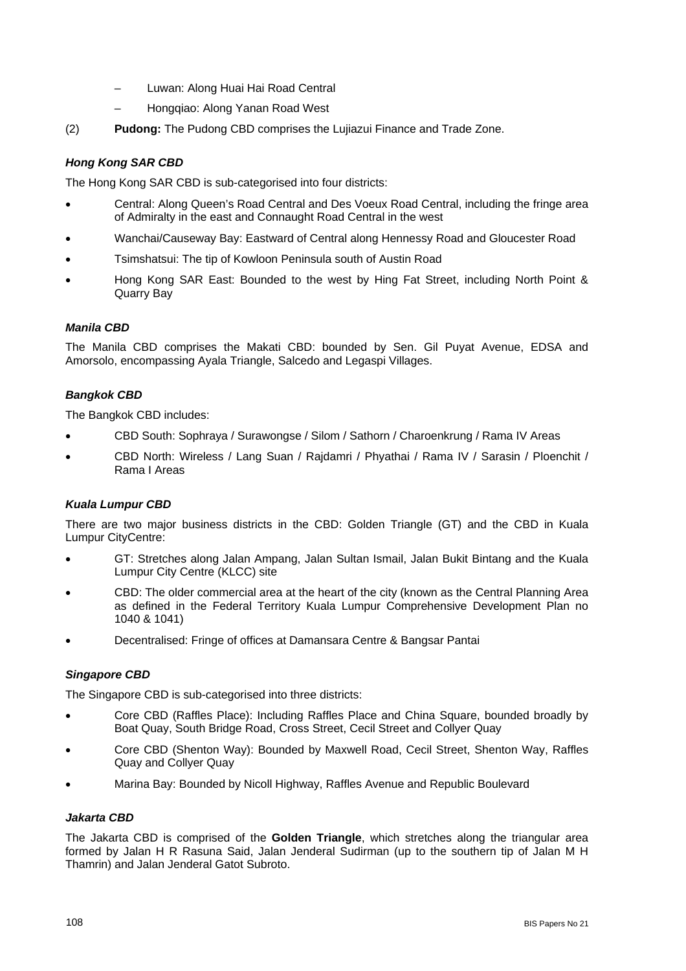- Luwan: Along Huai Hai Road Central
- Hongqiao: Along Yanan Road West
- (2) **Pudong:** The Pudong CBD comprises the Lujiazui Finance and Trade Zone.

### *Hong Kong SAR CBD*

The Hong Kong SAR CBD is sub-categorised into four districts:

- Central: Along Queen's Road Central and Des Voeux Road Central, including the fringe area of Admiralty in the east and Connaught Road Central in the west
- Wanchai/Causeway Bay: Eastward of Central along Hennessy Road and Gloucester Road
- Tsimshatsui: The tip of Kowloon Peninsula south of Austin Road
- Hong Kong SAR East: Bounded to the west by Hing Fat Street, including North Point & Quarry Bay

#### *Manila CBD*

The Manila CBD comprises the Makati CBD: bounded by Sen. Gil Puyat Avenue, EDSA and Amorsolo, encompassing Ayala Triangle, Salcedo and Legaspi Villages.

### *Bangkok CBD*

The Bangkok CBD includes:

- CBD South: Sophraya / Surawongse / Silom / Sathorn / Charoenkrung / Rama IV Areas
- CBD North: Wireless / Lang Suan / Rajdamri / Phyathai / Rama IV / Sarasin / Ploenchit / Rama I Areas

#### *Kuala Lumpur CBD*

There are two major business districts in the CBD: Golden Triangle (GT) and the CBD in Kuala Lumpur CityCentre:

- GT: Stretches along Jalan Ampang, Jalan Sultan Ismail, Jalan Bukit Bintang and the Kuala Lumpur City Centre (KLCC) site
- CBD: The older commercial area at the heart of the city (known as the Central Planning Area as defined in the Federal Territory Kuala Lumpur Comprehensive Development Plan no 1040 & 1041)
- Decentralised: Fringe of offices at Damansara Centre & Bangsar Pantai

#### *Singapore CBD*

The Singapore CBD is sub-categorised into three districts:

- Core CBD (Raffles Place): Including Raffles Place and China Square, bounded broadly by Boat Quay, South Bridge Road, Cross Street, Cecil Street and Collyer Quay
- Core CBD (Shenton Way): Bounded by Maxwell Road, Cecil Street, Shenton Way, Raffles Quay and Collyer Quay
- Marina Bay: Bounded by Nicoll Highway, Raffles Avenue and Republic Boulevard

#### *Jakarta CBD*

The Jakarta CBD is comprised of the **Golden Triangle**, which stretches along the triangular area formed by Jalan H R Rasuna Said, Jalan Jenderal Sudirman (up to the southern tip of Jalan M H Thamrin) and Jalan Jenderal Gatot Subroto.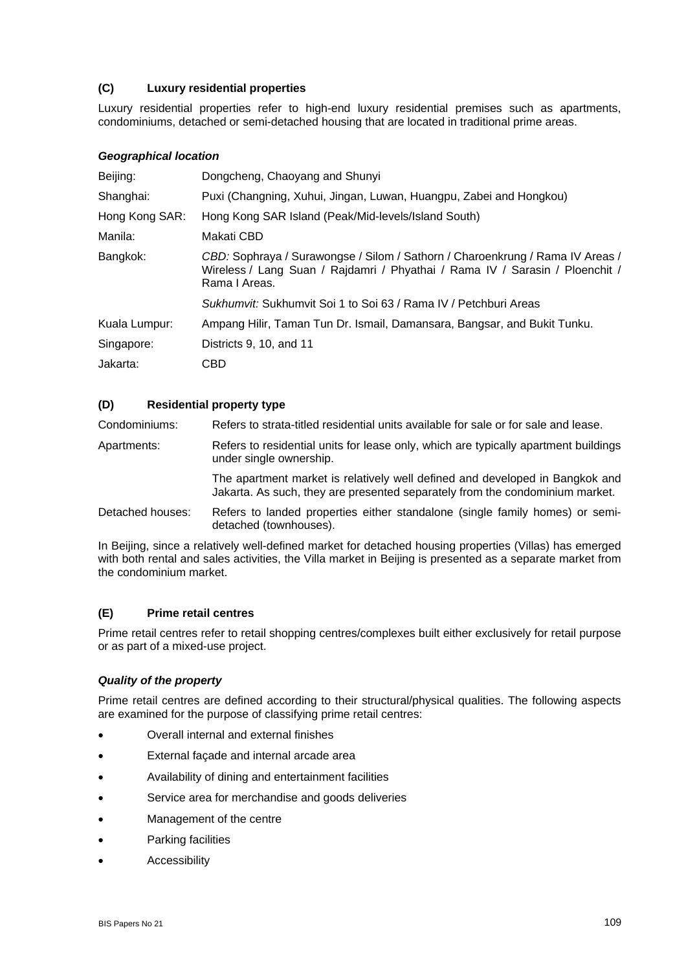### **(C) Luxury residential properties**

Luxury residential properties refer to high-end luxury residential premises such as apartments, condominiums, detached or semi-detached housing that are located in traditional prime areas.

#### *Geographical location*

| Dongcheng, Chaoyang and Shunyi                                                                                                                                                 |
|--------------------------------------------------------------------------------------------------------------------------------------------------------------------------------|
| Puxi (Changning, Xuhui, Jingan, Luwan, Huangpu, Zabei and Hongkou)                                                                                                             |
| Hong Kong SAR Island (Peak/Mid-levels/Island South)                                                                                                                            |
| Makati CBD                                                                                                                                                                     |
| CBD: Sophraya / Surawongse / Silom / Sathorn / Charoenkrung / Rama IV Areas /<br>Wireless / Lang Suan / Rajdamri / Phyathai / Rama IV / Sarasin / Ploenchit /<br>Rama I Areas. |
| Sukhumvit: Sukhumvit Soi 1 to Soi 63 / Rama IV / Petchburi Areas                                                                                                               |
| Ampang Hilir, Taman Tun Dr. Ismail, Damansara, Bangsar, and Bukit Tunku.                                                                                                       |
| Districts 9, 10, and 11                                                                                                                                                        |
| CBD                                                                                                                                                                            |
|                                                                                                                                                                                |

#### **(D) Residential property type**

Condominiums: Refers to strata-titled residential units available for sale or for sale and lease.

Apartments: Refers to residential units for lease only, which are typically apartment buildings under single ownership.

> The apartment market is relatively well defined and developed in Bangkok and Jakarta. As such, they are presented separately from the condominium market.

Detached houses: Refers to landed properties either standalone (single family homes) or semidetached (townhouses).

In Beijing, since a relatively well-defined market for detached housing properties (Villas) has emerged with both rental and sales activities, the Villa market in Beijing is presented as a separate market from the condominium market.

#### **(E) Prime retail centres**

Prime retail centres refer to retail shopping centres/complexes built either exclusively for retail purpose or as part of a mixed-use project.

#### *Quality of the property*

Prime retail centres are defined according to their structural/physical qualities. The following aspects are examined for the purpose of classifying prime retail centres:

- Overall internal and external finishes
- External façade and internal arcade area
- Availability of dining and entertainment facilities
- Service area for merchandise and goods deliveries
- Management of the centre
- Parking facilities
- **Accessibility**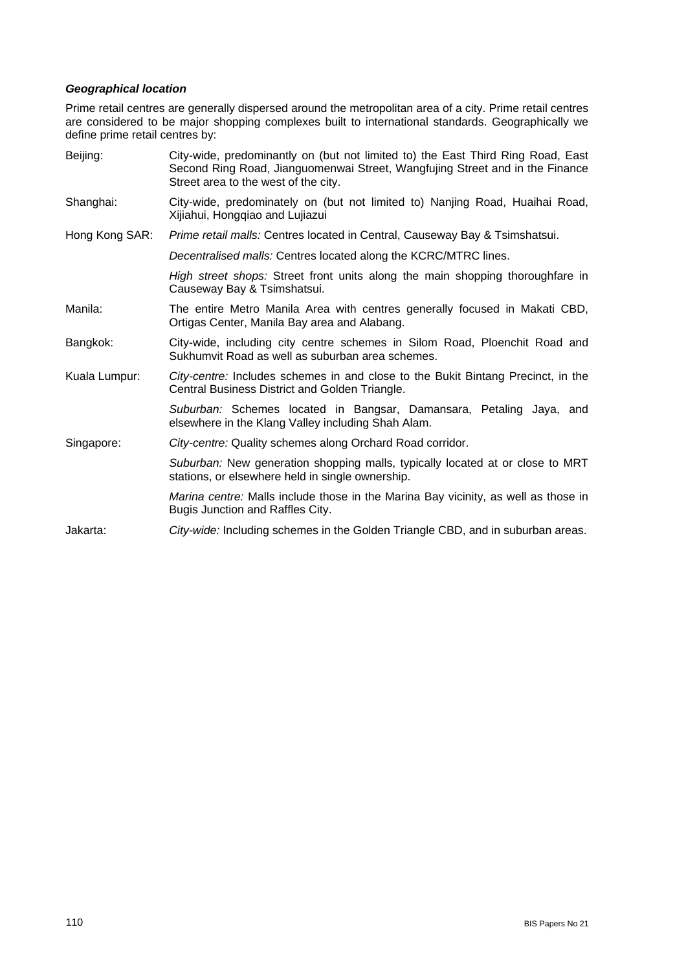### *Geographical location*

Prime retail centres are generally dispersed around the metropolitan area of a city. Prime retail centres are considered to be major shopping complexes built to international standards. Geographically we define prime retail centres by:

| Beijing:       | City-wide, predominantly on (but not limited to) the East Third Ring Road, East<br>Second Ring Road, Jianguomenwai Street, Wangfujing Street and in the Finance<br>Street area to the west of the city. |
|----------------|---------------------------------------------------------------------------------------------------------------------------------------------------------------------------------------------------------|
| Shanghai:      | City-wide, predominately on (but not limited to) Nanjing Road, Huaihai Road,<br>Xijiahui, Hongqiao and Lujiazui                                                                                         |
| Hong Kong SAR: | Prime retail malls: Centres located in Central, Causeway Bay & Tsimshatsui.                                                                                                                             |
|                | Decentralised malls: Centres located along the KCRC/MTRC lines.                                                                                                                                         |
|                | High street shops: Street front units along the main shopping thoroughfare in<br>Causeway Bay & Tsimshatsui.                                                                                            |
| Manila:        | The entire Metro Manila Area with centres generally focused in Makati CBD,<br>Ortigas Center, Manila Bay area and Alabang.                                                                              |
| Bangkok:       | City-wide, including city centre schemes in Silom Road, Ploenchit Road and<br>Sukhumvit Road as well as suburban area schemes.                                                                          |
| Kuala Lumpur:  | City-centre: Includes schemes in and close to the Bukit Bintang Precinct, in the<br>Central Business District and Golden Triangle.                                                                      |
|                | Suburban: Schemes located in Bangsar, Damansara, Petaling Jaya, and<br>elsewhere in the Klang Valley including Shah Alam.                                                                               |
| Singapore:     | City-centre: Quality schemes along Orchard Road corridor.                                                                                                                                               |
|                | Suburban: New generation shopping malls, typically located at or close to MRT<br>stations, or elsewhere held in single ownership.                                                                       |
|                | <i>Marina centre:</i> Malls include those in the Marina Bay vicinity, as well as those in<br>Bugis Junction and Raffles City.                                                                           |
| Jakarta:       | City-wide: Including schemes in the Golden Triangle CBD, and in suburban areas.                                                                                                                         |
|                |                                                                                                                                                                                                         |